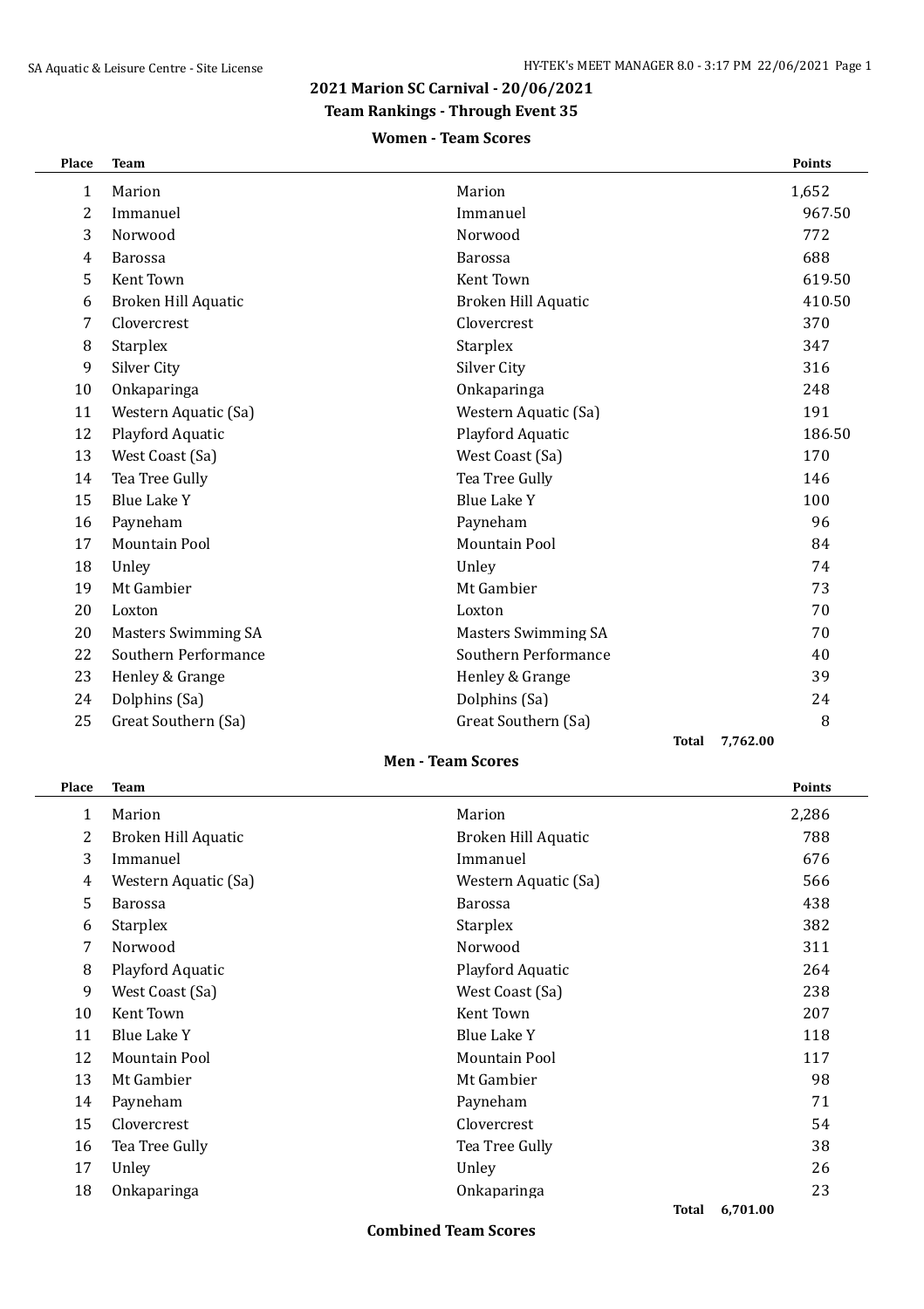# **2021 Marion SC Carnival - 20/06/2021**

### **Team Rankings - Through Event 35**

### **Women - Team Scores**

| Place | <b>Team</b>                |                            | <b>Points</b> |
|-------|----------------------------|----------------------------|---------------|
| 1     | Marion                     | Marion                     | 1,652         |
| 2     | Immanuel                   | Immanuel                   | 967.50        |
| 3     | Norwood                    | Norwood                    | 772           |
| 4     | <b>Barossa</b>             | Barossa                    | 688           |
| 5     | Kent Town                  | Kent Town                  | 619.50        |
| 6     | Broken Hill Aquatic        | <b>Broken Hill Aquatic</b> | 410.50        |
| 7     | Clovercrest                | Clovercrest                | 370           |
| 8     | <b>Starplex</b>            | <b>Starplex</b>            | 347           |
| 9     | Silver City                | Silver City                | 316           |
| 10    | Onkaparinga                | Onkaparinga                | 248           |
| 11    | Western Aquatic (Sa)       | Western Aquatic (Sa)       | 191           |
| 12    | Playford Aquatic           | Playford Aquatic           | 186.50        |
| 13    | West Coast (Sa)            | West Coast (Sa)            | 170           |
| 14    | Tea Tree Gully             | Tea Tree Gully             | 146           |
| 15    | <b>Blue Lake Y</b>         | <b>Blue Lake Y</b>         | 100           |
| 16    | Payneham                   | Payneham                   | 96            |
| 17    | Mountain Pool              | <b>Mountain Pool</b>       | 84            |
| 18    | Unley                      | Unley                      | 74            |
| 19    | Mt Gambier                 | Mt Gambier                 | 73            |
| 20    | Loxton                     | Loxton                     | 70            |
| 20    | <b>Masters Swimming SA</b> | <b>Masters Swimming SA</b> | 70            |
| 22    | Southern Performance       | Southern Performance       | 40            |
| 23    | Henley & Grange            | Henley & Grange            | 39            |
| 24    | Dolphins (Sa)              | Dolphins (Sa)              | 24            |
| 25    | Great Southern (Sa)        | Great Southern (Sa)        | 8             |
|       |                            | <b>Total</b>               | 7,762.00      |

### **Men - Team Scores**

| Place | <b>Team</b>          |                      | <b>Points</b>     |
|-------|----------------------|----------------------|-------------------|
| 1     | Marion               | Marion               | 2,286             |
| 2     | Broken Hill Aquatic  | Broken Hill Aquatic  | 788               |
| 3     | Immanuel             | Immanuel             | 676               |
| 4     | Western Aquatic (Sa) | Western Aquatic (Sa) | 566               |
| 5     | <b>Barossa</b>       | <b>Barossa</b>       | 438               |
| 6     | <b>Starplex</b>      | <b>Starplex</b>      | 382               |
| 7     | Norwood              | Norwood              | 311               |
| 8     | Playford Aquatic     | Playford Aquatic     | 264               |
| 9     | West Coast (Sa)      | West Coast (Sa)      | 238               |
| 10    | Kent Town            | Kent Town            | 207               |
| 11    | Blue Lake Y          | <b>Blue Lake Y</b>   | 118               |
| 12    | Mountain Pool        | Mountain Pool        | 117               |
| 13    | Mt Gambier           | Mt Gambier           | 98                |
| 14    | Payneham             | Payneham             | 71                |
| 15    | Clovercrest          | Clovercrest          | 54                |
| 16    | Tea Tree Gully       | Tea Tree Gully       | 38                |
| 17    | Unley                | Unley                | 26                |
| 18    | Onkaparinga          | Onkaparinga          | 23                |
|       |                      |                      | Total<br>6.701.00 |

**Combined Team Scores**